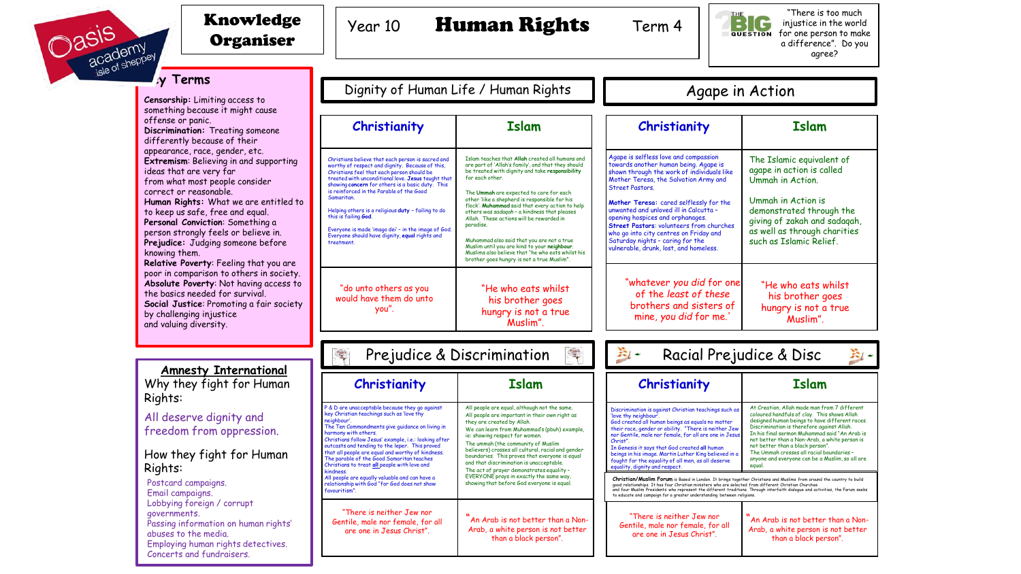

# Knowledge

## Organiser

**Censorship:** Limiting access to something because it might cause offense or panic. **Discrimination:** Treating someone differently because of their appearance, race, gender, etc. **Extremism**: Believing in and supporting ideas that are very far from what most people consider correct or reasonable. **Human Rights:** What we are entitled to to keep us safe, free and equal. **Personal Conviction**: Something a person strongly feels or believe in. **Prejudice:** Judging someone before knowing them. **Relative Poverty**: Feeling that you are poor in comparison to others in society. **Absolute Poverty**: Not having access to the basics needed for survival. **Social Justice**: Promoting a fair society by challenging injustice and valuing diversity.

| Dignity of Human Life / Human Rights                                                                                                                                                                                                                                                                                                                                                                                                                                                                                                                                               |                                                                                                                                                                                                                                                                                                                                                                                                                                                                                                                                                                                                                                      | Agape in Action                                                                                                                                                                                                                                                                                                                                                                                                                                                                                                                                                                                                                                                                                                                                                                                                                                                                                                   |                                                                                                                                                                                                                                                                                                                                                                                                                                             |  |
|------------------------------------------------------------------------------------------------------------------------------------------------------------------------------------------------------------------------------------------------------------------------------------------------------------------------------------------------------------------------------------------------------------------------------------------------------------------------------------------------------------------------------------------------------------------------------------|--------------------------------------------------------------------------------------------------------------------------------------------------------------------------------------------------------------------------------------------------------------------------------------------------------------------------------------------------------------------------------------------------------------------------------------------------------------------------------------------------------------------------------------------------------------------------------------------------------------------------------------|-------------------------------------------------------------------------------------------------------------------------------------------------------------------------------------------------------------------------------------------------------------------------------------------------------------------------------------------------------------------------------------------------------------------------------------------------------------------------------------------------------------------------------------------------------------------------------------------------------------------------------------------------------------------------------------------------------------------------------------------------------------------------------------------------------------------------------------------------------------------------------------------------------------------|---------------------------------------------------------------------------------------------------------------------------------------------------------------------------------------------------------------------------------------------------------------------------------------------------------------------------------------------------------------------------------------------------------------------------------------------|--|
| Christianity                                                                                                                                                                                                                                                                                                                                                                                                                                                                                                                                                                       | <b>Islam</b>                                                                                                                                                                                                                                                                                                                                                                                                                                                                                                                                                                                                                         | Christianity                                                                                                                                                                                                                                                                                                                                                                                                                                                                                                                                                                                                                                                                                                                                                                                                                                                                                                      | <b>Islam</b>                                                                                                                                                                                                                                                                                                                                                                                                                                |  |
| Christians believe that each person is sacred and<br>worthy of respect and dignity. Because of this,<br>Christians feel that each person should be<br>treated with unconditional love. Jesus taught that<br>showing concern for others is a basic duty. This<br>is reinforced in the Parable of the Good<br>Samaritan.<br>Helping others is a religious duty - failing to do<br>this is failing God.<br>Everyone is made 'imago dei' - in the image of God.<br>Everyone should have dignity, equal rights and<br>treatment.                                                        | Islam teaches that Allah created all humans and<br>are part of 'Allah's family', and that they should<br>be treated with dignity and take responsibility<br>for each other.<br>The Ummah are expected to care for each<br>other 'like a shepherd is responsible for his<br>flock'. Muhammad said that every action to help<br>others was sadagah - a kindness that pleases<br>Allah. These actions will be rewarded in<br>paradise.<br>Muhammad also said that you are not a true<br>Muslim until you are kind to your neighbour.<br>Muslims also believe that "he who eats whilst his<br>brother goes hungry is not a true Muslim". | Agape is selfless love and compassion<br>towards another human being. Agape is<br>shown through the work of individuals like<br>Mother Teresa, the Salvation Army and<br><b>Street Pastors.</b><br>Mother Teresa: cared selflessly for the<br>unwanted and unloved ill in Calcutta -<br>opening hospices and orphanages.<br><b>Street Pastors: volunteers from churches</b><br>who go into city centres on Friday and<br>Saturday nights - caring for the<br>vulnerable, drunk, lost, and homeless.                                                                                                                                                                                                                                                                                                                                                                                                               | The Islamic equivalent of<br>agape in action is called<br>Ummah in Action.<br>Ummah in Action is<br>demonstrated through the<br>giving of zakah and sadagah,<br>as well as through charities<br>such as Islamic Relief.                                                                                                                                                                                                                     |  |
| "do unto others as you<br>would have them do unto<br>you".                                                                                                                                                                                                                                                                                                                                                                                                                                                                                                                         | "He who eats whilst<br>his brother goes<br>hungry is not a true<br>Muslim".                                                                                                                                                                                                                                                                                                                                                                                                                                                                                                                                                          | "whatever you did for one<br>of the least of these<br>brothers and sisters of<br>mine, you did for me.'                                                                                                                                                                                                                                                                                                                                                                                                                                                                                                                                                                                                                                                                                                                                                                                                           | "He who eats whilst<br>his brother goes<br>hungry is not a true<br>Muslim".                                                                                                                                                                                                                                                                                                                                                                 |  |
|                                                                                                                                                                                                                                                                                                                                                                                                                                                                                                                                                                                    |                                                                                                                                                                                                                                                                                                                                                                                                                                                                                                                                                                                                                                      |                                                                                                                                                                                                                                                                                                                                                                                                                                                                                                                                                                                                                                                                                                                                                                                                                                                                                                                   |                                                                                                                                                                                                                                                                                                                                                                                                                                             |  |
|                                                                                                                                                                                                                                                                                                                                                                                                                                                                                                                                                                                    | Prejudice & Discrimination<br>$\frac{1}{2}$                                                                                                                                                                                                                                                                                                                                                                                                                                                                                                                                                                                          |                                                                                                                                                                                                                                                                                                                                                                                                                                                                                                                                                                                                                                                                                                                                                                                                                                                                                                                   | Racial Prejudice & Disc                                                                                                                                                                                                                                                                                                                                                                                                                     |  |
| Christianity                                                                                                                                                                                                                                                                                                                                                                                                                                                                                                                                                                       | <b>Islam</b>                                                                                                                                                                                                                                                                                                                                                                                                                                                                                                                                                                                                                         | Christianity                                                                                                                                                                                                                                                                                                                                                                                                                                                                                                                                                                                                                                                                                                                                                                                                                                                                                                      | <b>Islam</b>                                                                                                                                                                                                                                                                                                                                                                                                                                |  |
| P & D are unacceptable because they go against<br>key Christian teachings such as 'love thy<br>neighbour'.<br>The Ten Commandments give guidance on living in<br>harmony with others.<br>Christians follow Jesus' example, i.e.: looking after<br>outcasts and tending to the leper. This proved<br>that all people are equal and worthy of kindness.<br>The parable of the Good Samaritan teaches<br>Christians to treat all people with love and<br>kindness.<br>All people are equally valuable and can have a<br>relationship with God "for God does not show<br>favouritism". | All people are equal, although not the same.<br>All people are important in their own right as<br>they are created by Allah.<br>We can learn from Muhammad's (pbuh) example,<br>ie: showing respect for women.<br>The ummah (the community of Muslim<br>believers) crosses all cultural, racial and gender<br>boundaries. This proves that everyone is equal<br>and that discrimination is unacceptable.<br>The act of prayer demonstrates equality -<br>EVERYONE prays in exactly the same way,<br>showing that before God everyone is equal.                                                                                       | Discrimination is against Christian teachings such as<br>'love thy neighbour'.<br>God created all human beings as equals no matter<br>their race, gender or ability. "There is neither Jew<br>nor Gentile, male nor female, for all are one in Jesus<br>Christ".<br>In Genesis it says that God created all human<br>beings in his image. Martin Luther King believed in a<br>fought for the equality of all men, as all deserve<br>equality, dignity and respect.<br>Christian/Muslim Forum is Based in London. It brings together Christians and Muslims from around the country to build<br>good relationships. It has four Christian ministers who are selected from different Christian Churches<br>and four Muslim Presidents who represent the different traditions. Through interfaith dialogue and activities, the Forum seeks<br>to educate and campaign for a greater understanding between religions. | At Creation, Allah made man from 7 different<br>coloured handfuls of clay. This shows Allah<br>designed human beings to have different races.<br>Discrimination is therefore against Allah.<br>In his final sermon Muhammad said "An Arab is<br>not better than a Non-Arab, a white person is<br>not better than a black person".<br>The Ummah crosses all racial boundaries -<br>anyone and everyone can be a Muslim, so all are<br>equal. |  |
| "There is neither Jew nor<br>Gentile, male nor female, for all<br>are one in Jesus Christ".                                                                                                                                                                                                                                                                                                                                                                                                                                                                                        | An Arab is not better than a Non-<br>Arab, a white person is not better<br>than a black person".                                                                                                                                                                                                                                                                                                                                                                                                                                                                                                                                     | "There is neither Jew nor<br>Gentile, male nor female, for all<br>are one in Jesus Christ".                                                                                                                                                                                                                                                                                                                                                                                                                                                                                                                                                                                                                                                                                                                                                                                                                       | An Arab is not better than a Non-<br>Arab, a white person is not better<br>than a black person".                                                                                                                                                                                                                                                                                                                                            |  |

**Amnesty International** Why they fight for Human Rights:

All deserve dignity and freedom from oppression.

How they fight for Human Rights:

Postcard campaigns. Email campaigns. Lobbying foreign / corrupt governments. Passing information on human rights' abuses to the media. Employing human rights detectives. Concerts and fundraisers.

## Year 10 **Human Rights** Term 4



"There is too much injustice in the world for one person to make a difference". Do you agree?